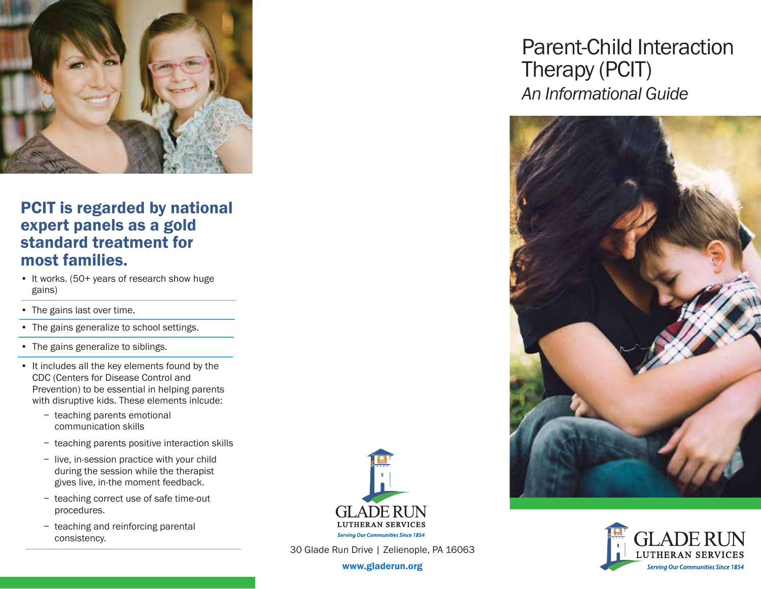

## PCIT is regarded by national expert panels as a gold standard treatment for most families.

- It works. (50+ years of research show huge gains)
- The gains last over time.
- The gains generalize to school settings.
- The gains generalize to siblings.
- It includes all the key elements found by the CDC (Centers for Disease Control and Prevention) to be essential in helping parents with disruptive kids. These elements inlcude:
	- − teaching parents emotional communication skills
	- − teaching parents positive interaction skills
	- − live, in-session practice with your child during the session while the therapist gives live, in-the moment feedback.
	- − teaching correct use of safe time-out procedures.
	- − teaching and reinforcing parental consistency.



30 Glade Run Drive | Zelienople, PA 16063

www.gladerun.org

# *An Informational Guide* Parent-Child Interaction Therapy (PCIT)